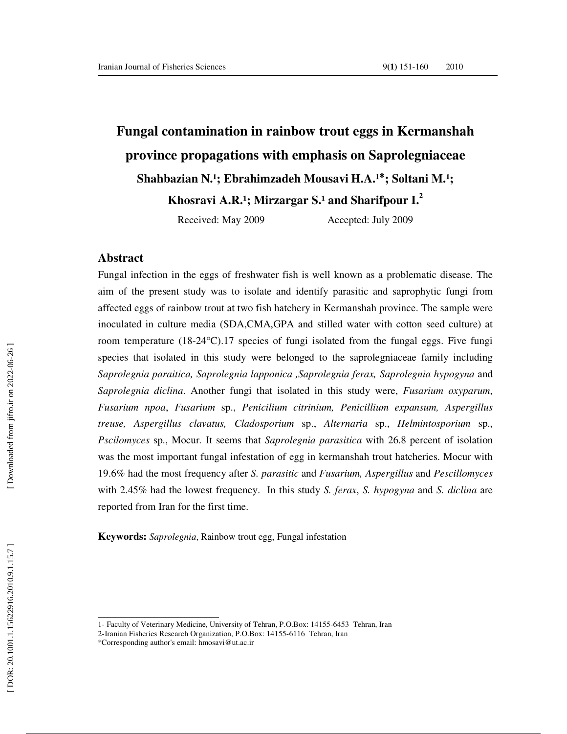# **Fungal contamination in rainbow trout eggs in Kermanshah province propagations with emphasis on Saprolegniaceae**  Shahbazian N.<sup>1</sup>; Ebrahimzadeh Mousavi H.A.<sup>1\*</sup>; Soltani M.<sup>1</sup>;

Khosravi A.R.<sup>1</sup>; Mirzargar S.<sup>1</sup> and Sharifpour I.<sup>2</sup>

Received: May 2009 Accepted: July 2009

#### **Abstract**

Fungal infection in the eggs of freshwater fish is well known as a problematic disease. The aim of the present study was to isolate and identify parasitic and saprophytic fungi from affected eggs of rainbow trout at two fish hatchery in Kermanshah province. The sample were inoculated in culture media (SDA,CMA,GPA and stilled water with cotton seed culture) at room temperature (18-24 $^{\circ}$ C).17 species of fungi isolated from the fungal eggs. Five fungi species that isolated in this study were belonged to the saprolegniaceae family including *Saprolegnia paraitica, Saprolegnia lapponica ,Saprolegnia ferax, Saprolegnia hypogyna* and *Saprolegnia diclina*. Another fungi that isolated in this study were, *Fusarium oxyparum*, *Fusarium npoa*, *Fusarium* sp., *Penicilium citrinium, Penicillium expansum, Aspergillus treuse, Aspergillus clavatus, Cladosporium* sp., *Alternaria* sp., *Helmintosporium* sp., *Pscilomyces* sp., Mocur *.* It seems that *Saprolegnia parasitica* with 26.8 percent of isolation was the most important fungal infestation of egg in kermanshah trout hatcheries. Mocur with 19.6% had the most frequency after *S. parasitic* and *Fusarium, Aspergillus* and *Pescillomyces* with 2.45% had the lowest frequency. In this study *S. ferax*, *S. hypogyna* and *S. diclina* are reported from Iran for the first time.

**Keywords:** *Saprolegnia*, Rainbow trout egg, Fungal infestation

<sup>1-</sup> Faculty of Veterinary Medicine, University of Tehran, P.O.Box: 14155-6453 Tehran, Iran

<sup>2-</sup>Iranian Fisheries Research Organization, P.O.Box: 14155-6116 Tehran, Iran

<sup>\*</sup>Corresponding author's email: hmosavi@ut.ac.ir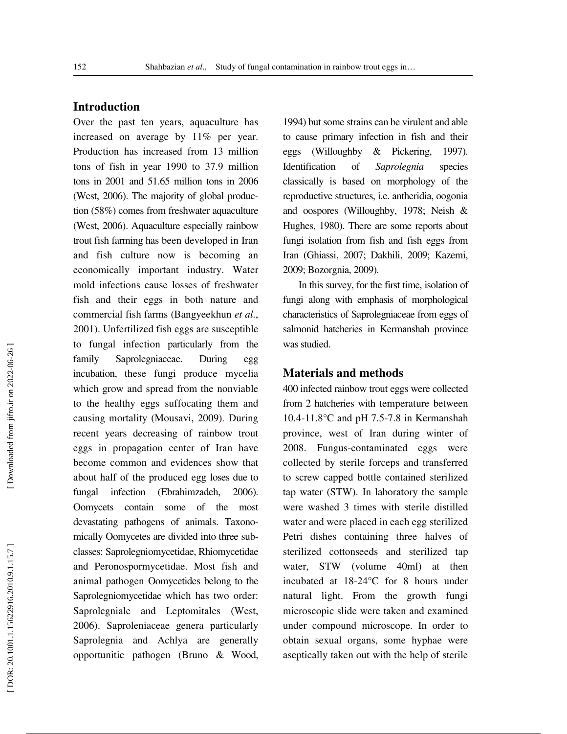## **Introduction**

Over the past ten years, aquaculture has increased on average by 11% per year. Production has increased from 13 million tons of fish in year 1990 to 37.9 million tons in 2001 and 51.65 million tons in 2006 (West, 2006). The majority of global production (58%) comes from freshwater aquaculture (West, 2006). Aquaculture especially rainbow trout fish farming has been developed in Iran and fish culture now is becoming an economically important industry. Water mold infections cause losses of freshwater fish and their eggs in both nature and commercial fish farms (Bangyeekhun *et al*., 2001). Unfertilized fish eggs are susceptible to fungal infection particularly from the family Saprolegniaceae. During egg incubation, these fungi produce mycelia which grow and spread from the nonviable to the healthy eggs suffocating them and causing mortality (Mousavi, 2009) . During recent years decreasing of rainbow trout eggs in propagation center of Iran have become common and evidences show that about half of the produced egg loses due to fungal infection (Ebrahimzadeh, 2006). Oomycets contain some of the most devastating pathogens of animals. Taxonomically Oomycetes are divided into three subclasses: Saprolegniomycetidae, Rhiomycetidae and Peronospormycetidae. Most fish and animal pathogen Oomycetides belong to the Saprolegniomycetidae which has two order: Saprolegniale and Leptomitales (West, 2006). Saproleniaceae genera particularly Saprolegnia and Achlya are generally opportunitic pathogen (Bruno & Wood,

1994) but some strains can be virulent and able to cause primary infection in fish and their eggs (Willoughby & Pickering, 1997). Identification of *Saprolegnia* species classically is based on morphology of the reproductive structures, i.e. antheridia, oogonia and oospores (Willoughby, 1978; Neish & Hughes, 1980). There are some reports about fungi isolation from fish and fish eggs from Iran (Ghiassi, 2007; Dakhili, 2009; Kazemi, 2009; Bozorgnia, 2009).

In this survey, for the first time, isolation of fungi along with emphasis of morphological characteristics of Saprolegniaceae from eggs of salmonid hatcheries in Kermanshah province was studied.

### **Materials and methods**

400 infected rainbow trout eggs were collected from 2 hatcheries with temperature between 10.4-11.8°C and pH 7.5-7.8 in Kermanshah province, west of Iran during winter of 2008. Fungus-contaminated eggs were collected by sterile forceps and transferred to screw capped bottle contained sterilized tap water (STW). In laboratory the sample were washed 3 times with sterile distilled water and were placed in each egg sterilized Petri dishes containing three halves of sterilized cottonseeds and sterilized tap water, STW (volume 40ml) at then incubated at 18-24°C for 8 hours under natural light. From the growth fungi microscopic slide were taken and examined under compound microscope. In order to obtain sexual organs, some hyphae were aseptically taken out with the help of sterile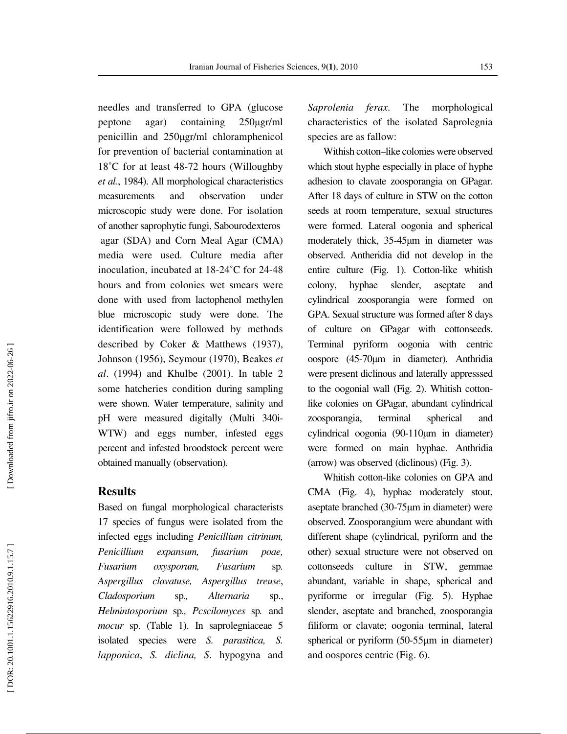needles and transferred to GPA (glucose peptone agar) containing 250ugr/ml penicillin and 250 µgr/ml chloramphenicol for prevention of bacterial contamination at 18˚C for at least 48-72 hours (Willoughby *et al.*, 1984). All morphological characteristics measurements and observation under microscopic study were done. For isolation of another saprophytic fungi, Sabourodexteros agar (SDA) and Corn Meal Agar (CMA) media were used. Culture media after inoculation, incubated at 18-24˚C for 24-48 hours and from colonies wet smears were done with used from lactophenol methylen blue microscopic study were done. The identification were followed by methods described by Coker & Matthews (1937), Johnson (1956), Seymour (1970), Beakes *et al*. (1994) and Khulbe (2001). In table 2 some hatcheries condition during sampling were shown. Water temperature, salinity and pH were measured digitally (Multi 340i-WTW) and eggs number, infested eggs percent and infested broodstock percent were obtained manually (observation).

### **Results**

Based on fungal morphological characterists 17 species of fungus were isolated from the infected eggs including *Penicillium citrinum, Penicillium expansum, fusarium poae, Fusarium oxysporum, Fusarium* sp*. Aspergillus clavatuse, Aspergillus treuse* , *Cladosporium* sp.*, Alternaria* sp., *Helmintosporium* sp*., Pcscilomyces* sp *.* and *mocur* sp. (Table 1). In saprolegniaceae 5 isolated species were *S. parasitica, S. lapponica*, *S. diclina, S*. hypogyna and *Saprolenia ferax*. The morphological characteristics of the isolated Saprolegnia species are as fallow:

Withish cotton–like colonies were observed which stout hyphe especially in place of hyphe adhesion to clavate zoosporangia on GPagar. After 18 days of culture in STW on the cotton seeds at room temperature, sexual structures were formed. Lateral oogonia and spherical moderately thick, 35-45µm in diameter was observed. Antheridia did not develop in the entire culture (Fig. 1). Cotton-like whitish colony, hyphae slender, aseptate and cylindrical zoosporangia were formed on GPA. Sexual structure was formed after 8 days of culture on GPagar with cottonseeds. Terminal pyriform oogonia with centric oospore (45-70 µm in diameter). Anthridia were present diclinous and laterally appresssed to the oogonial wall (Fig. 2). Whitish cottonlike colonies on GPagar, abundant cylindrical zoosporangia, terminal spherical and cylindrical oogonia (90-110 µm in diameter) were formed on main hyphae. Anthridia (arrow) was observed (diclinous) (Fig. 3).

Whitish cotton-like colonies on GPA and CMA (Fig. 4), hyphae moderately stout, aseptate branched (30-75 µm in diameter) were observed. Zoosporangium were abundant with different shape (cylindrical, pyriform and the other) sexual structure were not observed on cottonseeds culture in STW, gemmae abundant, variable in shape, spherical and pyriforme or irregular (Fig. 5). Hyphae slender, aseptate and branched, zoosporangia filiform or clavate; oogonia terminal, lateral spherical or pyriform (50-55 µm in diameter) and oospores centric (Fig. 6).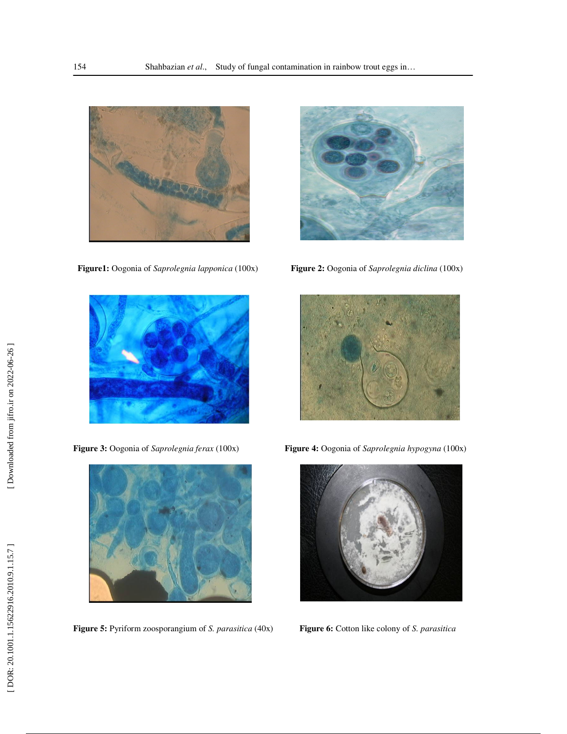





**Figure 5:** Pyriform zoosporangium of *S. parasitica* (40x) **Figure 6:** Cotton like colony of *S. parasitica*



 **Figure1:** Oogonia of *Saprolegnia lapponica* (100x) **Figure 2:** Oogonia of *Saprolegnia diclina* (100x)



**Figure 3:** Oogonia of *Saprolegnia ferax* (100x) **Figure 4:** Oogonia of *Saprolegnia hypogyna* (100x)

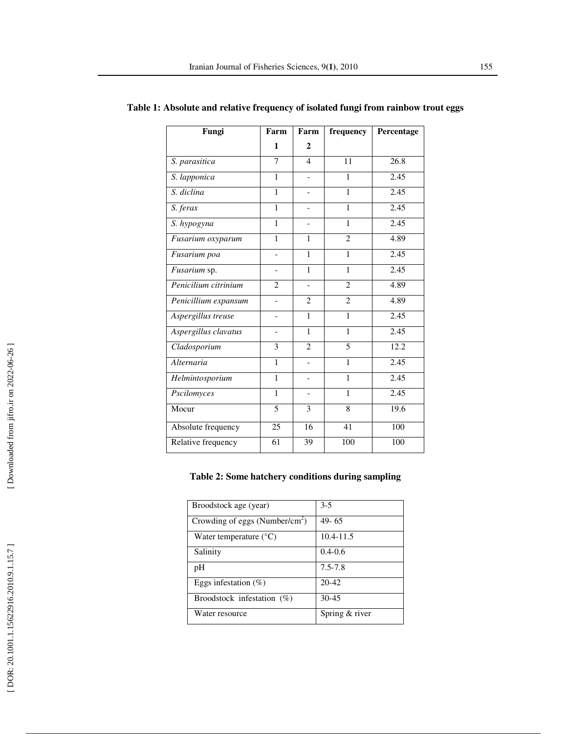| Fungi                | Farm                     | Farm                         | frequency      | Percentage        |
|----------------------|--------------------------|------------------------------|----------------|-------------------|
|                      | 1                        | $\mathbf{2}$                 |                |                   |
| S. parasitica        | $\overline{7}$           | $\overline{4}$               | 11             | $\overline{26.8}$ |
| S. lapponica         | 1                        |                              | 1              | 2.45              |
| S. diclina           | 1                        |                              | 1              | 2.45              |
| S. ferax             | 1                        |                              | $\mathbf{1}$   | 2.45              |
| S. hypogyna          | 1                        |                              | 1              | 2.45              |
| Fusarium oxyparum    | $\mathbf{1}$             | 1                            | $\overline{c}$ | 4.89              |
| Fusarium poa         | $\overline{a}$           | 1                            | 1              | 2.45              |
| Fusarium sp.         | $\overline{\phantom{0}}$ | 1                            | 1              | 2.45              |
| Penicilium citrinium | $\overline{2}$           |                              | $\overline{c}$ | 4.89              |
| Penicillium expansum | $\overline{\phantom{0}}$ | $\overline{2}$               | $\overline{2}$ | 4.89              |
| Aspergillus treuse   |                          | $\mathbf{1}$                 | 1              | 2.45              |
| Aspergillus clavatus | $\overline{a}$           | 1                            | $\mathbf{1}$   | 2.45              |
| Cladosporium         | 3                        | $\mathfrak{D}$               | 5              | 12.2              |
| Alternaria           | 1                        | $\overline{a}$               | 1              | 2.45              |
| Helmintosporium      | $\mathbf{1}$             | $\overline{\phantom{0}}$     | $\mathbf{1}$   | 2.45              |
| Pscilomyces          | $\mathbf{1}$             | $\qquad \qquad \blacksquare$ | $\mathbf{1}$   | 2.45              |
| Mocur                | 5                        | 3                            | 8              | 19.6              |
| Absolute frequency   | 25                       | 16                           | 41             | 100               |
| Relative frequency   | 61                       | 39                           | 100            | 100               |

**Table 1: Absolute and relative frequency of isolated fungi from rainbow trout eggs**

## **Table 2: Some hatchery conditions during sampling**

| Broodstock age (year)                      | $3-5$          |  |
|--------------------------------------------|----------------|--|
| Crowding of eggs (Number/cm <sup>2</sup> ) | $49 - 65$      |  |
| Water temperature $(^{\circ}C)$            | $10.4 - 11.5$  |  |
| Salinity                                   | $0.4 - 0.6$    |  |
| pH                                         | $7.5 - 7.8$    |  |
| Eggs infestation $(\%)$                    | $20 - 42$      |  |
| Broodstock infestation $(\%)$              | $30 - 45$      |  |
| Water resource                             | Spring & river |  |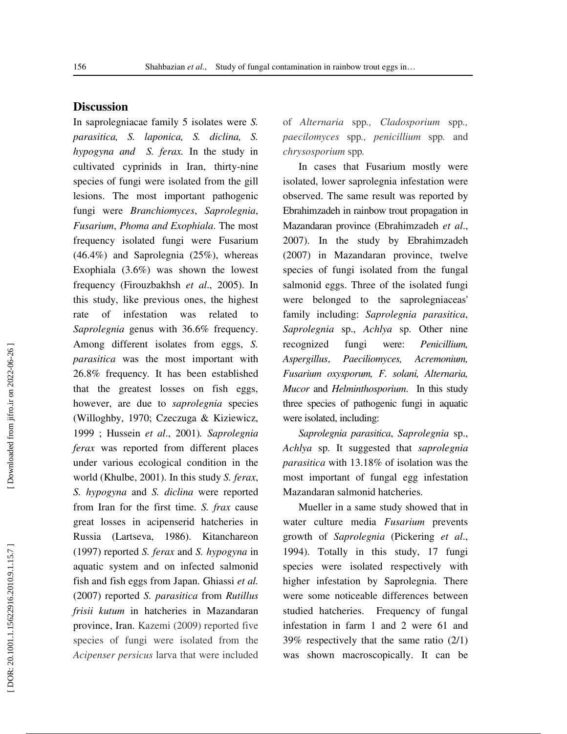# **Discussion**

In saprolegniacae family 5 isolates were *S. parasitica, S. laponica, S. diclina, S. hypogyna and S. ferax.* In the study in cultivated cyprinids in Iran, thirty-nine species of fungi were isolated from the gill lesions. The most important pathogenic fungi were *Branchiomyces* , *Saprolegnia* , *Fusarium* , *Phoma and Exophiala*. The most frequency isolated fungi were Fusarium (46.4%) and Saprolegnia (25%), whereas Exophiala (3.6%) was shown the lowest frequency (Firouzbakhsh *et al*., 2005). In this study, like previous ones, the highest rate of infestation was related to *Saprolegnia* genus with 36.6% frequency. Among different isolates from eggs, *S. parasitica* was the most important with 26.8% frequency*.* It has been established that the greatest losses on fish eggs, however, are due to *saprolegnia* species (Willoghby, 1970; Czeczuga & Kiziewicz, 1999 ; Hussein *et al*., 2001)*. Saprolegnia ferax* was reported from different places under various ecological condition in the world (Khulbe, 2001). In this study *S. ferax* , *S. hypogyna* and *S. diclina* were reported from Iran for the first time. *S. frax* cause great losses in acipenserid hatcheries in Russia (Lartseva, 1986). Kitanchareon (1997) reported *S. ferax* and *S. hypogyna* in aquatic system and on infected salmonid fish and fish eggs from Japan. Ghiassi *et al.* (2007) reported *S. parasitica* from *Rutillus frisii kutum* in hatcheries in Mazandaran province, Iran. Kazemi (2009) reported five species of fungi were isolated from the *Acipenser persicus* larva that were included

of *Alternaria* spp*., Cladosporium* spp*., paecilomyces* spp*., penicillium* spp*.* and *chrysosporium* spp *.*

In cases that Fusarium mostly were isolated, lower saprolegnia infestation were observed. The same result was reported by Ebrahimzadeh in rainbow trout propagation in Mazandaran province (Ebrahimzadeh *et al*., 2007). In the study by Ebrahimzadeh (2007) in Mazandaran province, twelve species of fungi isolated from the fungal salmonid eggs. Three of the isolated fungi were belonged to the saprolegniaceas' family including: *Saprolegnia parasitica*, *Saprolegnia* sp., *Achlya* sp. Other nine recognized fungi were: *Penicillium, Aspergillus* , *Paeciliomyces, Acremonium, Fusarium oxysporum, F. solani, Alternaria, Mucor* and *Helminthosporium*. In this study three species of pathogenic fungi in aquatic were isolated, including:

*Saprolegnia parasitica*, *Saprolegnia* sp., *Achlya* sp. It suggested that *saprolegnia parasitica* with 13.18% of isolation was the most important of fungal egg infestation Mazandaran salmonid hatcheries.

Mueller in a same study showed that in water culture media *Fusarium* prevents growth of *Saprolegnia* (Pickering *et al*., 1994). Totally in this study, 17 fungi species were isolated respectively with higher infestation by Saprolegnia. There were some noticeable differences between studied hatcheries. Frequency of fungal infestation in farm 1 and 2 were 61 and 39% respectively that the same ratio (2/1) was shown macroscopically. It can be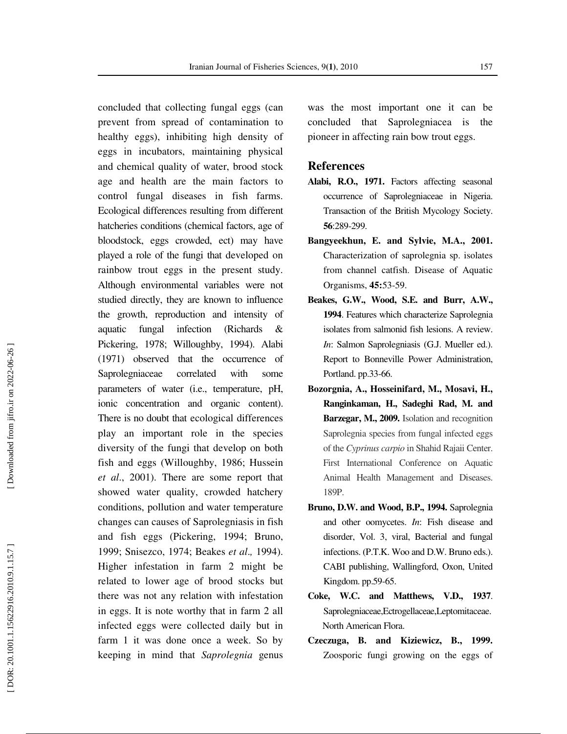concluded that collecting fungal eggs (can prevent from spread of contamination to healthy eggs), inhibiting high density of eggs in incubators, maintaining physical and chemical quality of water, brood stock age and health are the main factors to control fungal diseases in fish farms. Ecological differences resulting from different hatcheries conditions (chemical factors, age of bloodstock, eggs crowded, ect) may have played a role of the fungi that developed on rainbow trout eggs in the present study. Although environmental variables were not studied directly, they are known to influence the growth, reproduction and intensity of aquatic fungal infection (Richards & Pickering, 1978; Willoughby, 1994). Alabi (1971) observed that the occurrence of Saprolegniaceae correlated with some parameters of water (i.e., temperature, pH, ionic concentration and organic content). There is no doubt that ecological differences play an important role in the species diversity of the fungi that develop on both fish and eggs (Willoughby, 1986; Hussein *et al*., 2001). There are some report that showed water quality, crowded hatchery conditions, pollution and water temperature changes can causes of Saprolegniasis in fish and fish eggs (Pickering, 1994; Bruno, 1999; Snisezco, 1974; Beakes et al., 1994). Higher infestation in farm 2 might be related to lower age of brood stocks but there was not any relation with infestation in eggs. It is note worthy that in farm 2 all infected eggs were collected daily but in farm 1 it was done once a week. So by keeping in mind that *Saprolegnia* genus

was the most important one it can be concluded that Saprolegniacea is the pioneer in affecting rain bow trout eggs.

#### **References**

- **Alabi, R.O., 1971.** Factors affecting seasonal occurrence of Saprolegniaceae in Nigeria. Transaction of the British Mycology Society. **56**:289-299.
- **Bangyeekhun, E. and Sylvie, M.A., 2001.** Characterization of saprolegnia sp. isolates from channel catfish. Disease of Aquatic Organisms, **45:**53-59.
- **Beakes, G.W., Wood, S.E. and Burr, A.W., 1994**. Features which characterize Saprolegnia isolates from salmonid fish lesions. A review. *In*: Salmon Saprolegniasis (G.J. Mueller ed.). Report to Bonneville Power Administration, Portland. pp.33-66.
- **Bozorgnia, A., Hosseinifard, M., Mosavi, H., Ranginkaman, H., Sadeghi Rad, M. and Barzegar, M., 2009.** Isolation and recognition Saprolegnia species from fungal infected eggs of the *Cyprinus carpio* in Shahid Rajaii Center. First International Conference on Aquatic Animal Health Management and Diseases. 189P.
- **Bruno, D.W. and Wood, B.P., 1994.** Saprolegnia and other oomycetes. *In*: Fish disease and disorder, Vol. 3, viral, Bacterial and fungal infections. (P.T.K. Woo and D.W. Bruno eds.). CABI publishing, Wallingford, Oxon, United Kingdom. pp.59-65.
- **Coke, W.C. and Matthews, V.D., 1937**. Saprolegniaceae,Ectrogellaceae,Leptomitaceae. North American Flora.
- **Czeczuga, B. and Kiziewicz, B., 1999.** Zoosporic fungi growing on the eggs of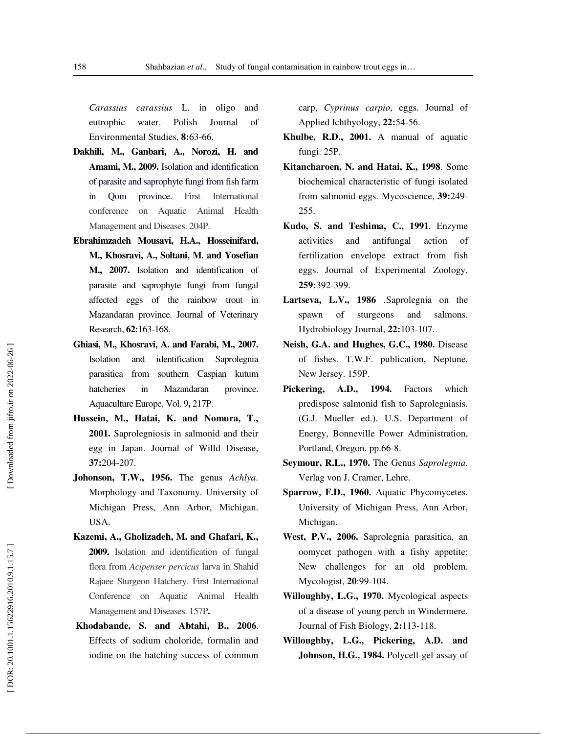*Carassius carassius* L. in oligo and eutrophic water. Polish Journal of Environmental Studies, **8:**63-66.

- **Dakhili, M., Ganbari, A., Norozi, H. and Amami, M., 2009.** Isolation and identification of parasite and saprophyte fungi from fish farm in Qom province. First International conference on Aquatic Animal Health Management and Diseases. 204P.
- **Ebrahimzadeh Mousavi, H.A., Hosseinifard, M., Khosravi, A., Soltani, M. and Yosefian M., 2007.** Isolation and identification of parasite and saprophyte fungi from fungal affected eggs of the rainbow trout in Mazandaran province. Journal of Veterinary Research, **62:**163-168.
- **Ghiasi, M., Khosravi, A. and Farabi, M., 2007.**  Isolation and identification Saprolegnia parasitica from southern Caspian kutum hatcheries in Mazandaran province. Aquaculture Europe, Vol. 9**,** 217P.
- **Hussein, M., Hatai, K. and Nomura, T., 2001.** Saprolegniosis in salmonid and their egg in Japan. Journal of Willd Disease, **37:**204-207.
- **Johonson, T.W., 1956.** The genus *Achlya*. Morphology and Taxonomy. University of Michigan Press, Ann Arbor, Michigan. USA.
- **Kazemi, A., Gholizadeh, M. and Ghafari, K., 2009.** Isolation and identification of fungal flora from *Acipenser percicus* larva in Shahid Rajaee Sturgeon Hatchery. First International Conference on Aquatic Animal Health Management and Diseases. 157P**.**
- **Khodabande, S. and Abtahi, B., 2006** . Effects of sodium choloride, formalin and iodine on the hatching success of common

carp, *Cyprinus carpio*, eggs. Journal of Applied Ichthyology, **22:**54-56.

- **Khulbe, R.D., 2001.** A manual of aquatic fungi. 25P.
- **Kitancharoen, N. and Hatai, K., 1998**. Some biochemical characteristic of fungi isolated from salmonid eggs. Mycoscience, **39:**249- 255.
- **Kudo, S. and Teshima, C., 1991** . Enzyme activities and antifungal action of fertilization envelope extract from fish eggs. Journal of Experimental Zoology, **259:**392-399.
- Lartseva, L.V., 1986 .Saprolegnia on the spawn of sturgeons and salmons. Hydrobiology Journal, **22:**103-107.
- **Neish, G.A. and Hughes, G.C., 1980.** Disease of fishes. T.W.F. publication, Neptune, New Jersey. 159P.
- **Pickering, A.D., 1994.** Factors which predispose salmonid fish to Saprolegniasis. (G.J. Mueller ed.). U.S. Department of Energy, Bonneville Power Administration, Portland, Oregon. pp.66-8.
- **Seymour, R.L., 1970.** The Genus *Saprolegnia*. Verlag von J. Cramer, Lehre.
- **Sparrow, F.D., 1960.** Aquatic Phycomycetes. University of Michigan Press, Ann Arbor, Michigan.
- **West, P.V., 2006.** Saprolegnia parasitica, an oomycet pathogen with a fishy appetite: New challenges for an old problem. Mycologist, **20**:99-104.
- **Willoughby, L.G., 1970.** Mycological aspects of a disease of young perch in Windermere. Journal of Fish Biology, **2:**113-118.
- **Willoughby, L.G., Pickering, A.D. and Johnson, H.G., 1984.** Polycell-gel assay of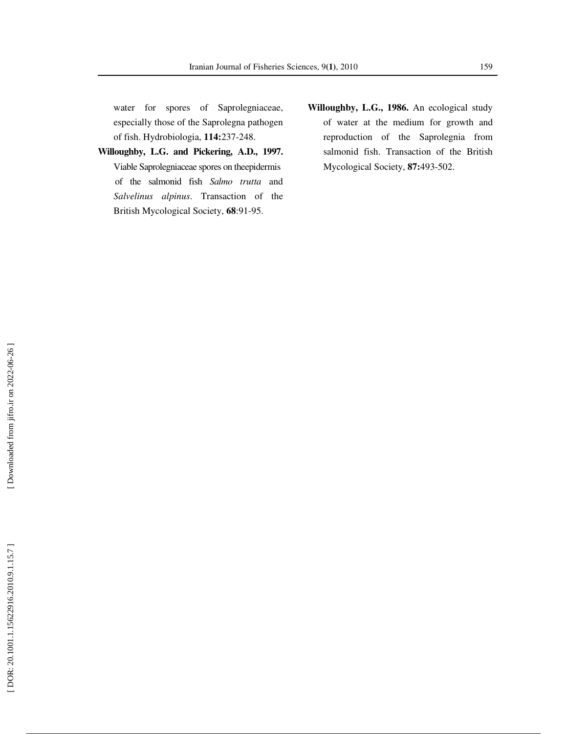water for spores of Saprolegniaceae, especially those of the Saprolegna pathogen of fish. Hydrobiologia, **114:**237-248.

- **Willoughby, L.G. and Pickering, A.D., 1997.**  Viable Saprolegniaceae spores on theepidermis of the salmonid fish *Salmo trutta* and *Salvelinus alpinus*. Transaction of the British Mycological Society, **68**:91-95.
- **Willoughby, L.G., 1986.** An ecological study of water at the medium for growth and reproduction of the Saprolegnia from salmonid fish. Transaction of the British Mycological Society, **87:**493-502.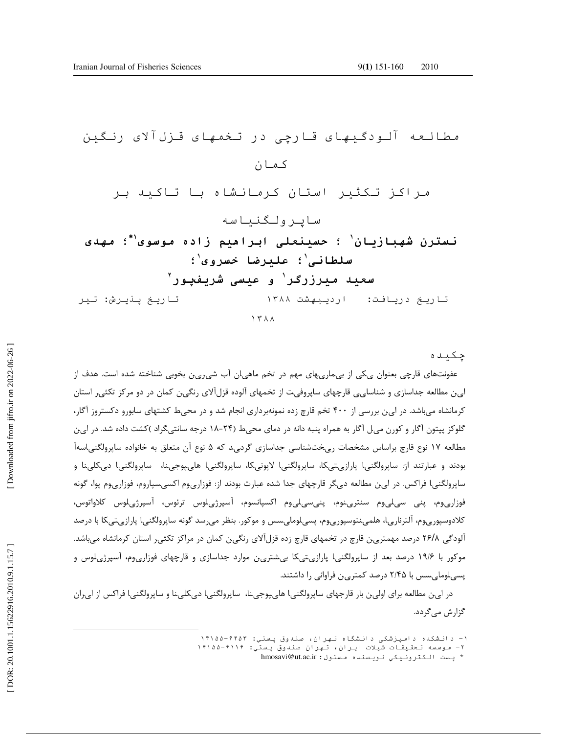د ر
در -ل ر ن ا- \$% ا"!ن & ' & "\* و)" ن -ز-ن ؛ ا اه زاد <sup>١</sup> ∗ ؛ <sup>١</sup> - ؛ \$ -# " و <sup>١</sup> ١ ؛ زر% ١ \$ ')ر و ٢ ر.- در:+,- ارد/-+ ١٣٨٨ ر.- \*-4 ش: ١٣٨٨

چکیده

عفونتهای قارچی بعنوان یکی از بیماریهای مهم در تخم ماهیان آب شیرین بخوبی شناخته شده است. هدف از ا<sub>ی ن</sub> مطالعه جداسازی و شناسا<sub>ی ی</sub> قارچهای ساپروفیت از تخمهای آلوده قزلآلای رنگین کمان در دو مرکز تکثیر استان کرمانشاه میباشد. در ای ن بررسی از ۴۰۰ تخم قارچ زده نمونهبرداری انجام شد و در محیط کشتهای سابورو دکستروز آگار، گلوکز پپتون آگار و کورن میل آگار به همراه پنبه دانه در دمای محیط (۲۴-۱۸ درجه سانتیگراد )کشت داده شد. در ای $\,$ ن مطالعه ۱۷ نوع قارچ براساس مشخصات ریختشناسی جداسازی گردی،د که ۵ نوع آن متعلق به خانواده ساپرولگنیاسهآ بودند و عبارتند از: ساپرولگنی۱ پارازیتیکا، ساپرولگنی۱ لاپونیکا، ساپرولگنی۱ هایپوجینا، ساپرولگنی۱ دیکلینا و .<br>د ساپرولگنیI فراکس. در ای& مطالعه دیگر قارچهای جدا شده عبارت بودند از: فوزاریوم اکسیسپاروم، فوزاریوم پوا، گونه .<br>. فوزارىوم، پنى سىلىوم سنترىنوم، پنىسىلىوم اكسپانسوم، آسپرژىلوس ترئوس، آسپرژىلوس كلاواتوس، کلادوسپوریوم، آلترناریا، هلمینتوسپوریوم، پسیلومایسس و موکور. بنظر میرسد گونه ساپرولگنیا پارازیتیکا با درصد آلودگی ۲۶/۸ درصد مهمترین قارچ در تخمهای قارچ زده قزلآلای رنگین کمان در مراکز تکثیر استان کرمانشاه میباشد. موکور با ۱۹/۶ درصد بعد از ساپرولگنی۱ پارازیتیکا بیشترین موارد جداسازی و قارچهای فوزاریوم، آسپرژیلوس و پسیلوما<sub>ی</sub>سس با ۲/۴۵ درصد کمتر<sub>ک</sub>ن فراوانی را داشتند.

در ا<sub>ی</sub> ن مطالعه برای اولین بار قارجهای ساپرولگنیI ها<sub>ی ک</sub>وجینا، ساپرولگنیI دیکلینا و ساپرولگنیI فراکس از ا<sub>ی</sub>ران گزارش می گردد.

 $\overline{a}$ 

۱- دانشکده دامپزشکی دانشگاه تهران، صندوق پستي: ۱۴۱۵۵-۴۴۵۳

۲- موسسه تحقیقات شیلات ایران، تهران صندوق پستی: ۱۴۱۵۵-۱۴۱۵۵

<sup>\*</sup> پست الکترونیکي نویسنده مسئول: hmosavi@ut.ac.ir